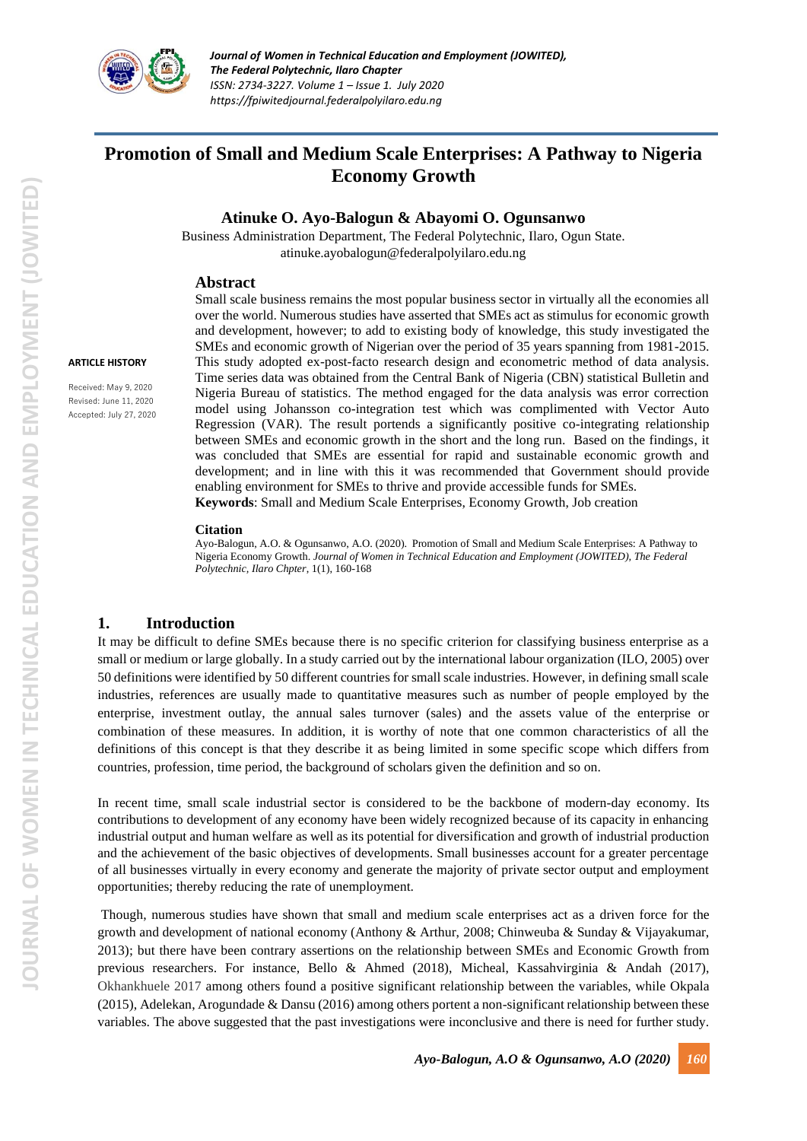

# **Promotion of Small and Medium Scale Enterprises: A Pathway to Nigeria Economy Growth**

### **Atinuke O. Ayo-Balogun & Abayomi O. Ogunsanwo**

Business Administration Department, The Federal Polytechnic, Ilaro, Ogun State. [atinuke.ayobalogun@federalpolyilaro.edu.ng](mailto:atinuke.ayobalogun@federalpolyilaro.edu.ng)

### **Abstract**

#### **ARTICLE HISTORY**

Received: May 9, 2020 Revised: June 11, 2020 Accepted: July 27, 2020

Small scale business remains the most popular business sector in virtually all the economies all over the world. Numerous studies have asserted that SMEs act as stimulus for economic growth and development, however; to add to existing body of knowledge, this study investigated the SMEs and economic growth of Nigerian over the period of 35 years spanning from 1981-2015. This study adopted ex-post-facto research design and econometric method of data analysis. Time series data was obtained from the Central Bank of Nigeria (CBN) statistical Bulletin and Nigeria Bureau of statistics. The method engaged for the data analysis was error correction model using Johansson co-integration test which was complimented with Vector Auto Regression (VAR). The result portends a significantly positive co-integrating relationship between SMEs and economic growth in the short and the long run. Based on the findings, it was concluded that SMEs are essential for rapid and sustainable economic growth and development; and in line with this it was recommended that Government should provide enabling environment for SMEs to thrive and provide accessible funds for SMEs. **Keywords**: Small and Medium Scale Enterprises, Economy Growth, Job creation

#### **Citation**

Ayo-Balogun, A.O. & Ogunsanwo, A.O. (2020). Promotion of Small and Medium Scale Enterprises: A Pathway to Nigeria Economy Growth. *Journal of Women in Technical Education and Employment (JOWITED), The Federal Polytechnic, Ilaro Chpter*, 1(1), 160-168

### **1. Introduction**

It may be difficult to define SMEs because there is no specific criterion for classifying business enterprise as a small or medium or large globally. In a study carried out by the international labour organization (ILO, 2005) over 50 definitions were identified by 50 different countries for small scale industries. However, in defining small scale industries, references are usually made to quantitative measures such as number of people employed by the enterprise, investment outlay, the annual sales turnover (sales) and the assets value of the enterprise or combination of these measures. In addition, it is worthy of note that one common characteristics of all the definitions of this concept is that they describe it as being limited in some specific scope which differs from countries, profession, time period, the background of scholars given the definition and so on.

In recent time, small scale industrial sector is considered to be the backbone of modern-day economy. Its contributions to development of any economy have been widely recognized because of its capacity in enhancing industrial output and human welfare as well as its potential for diversification and growth of industrial production and the achievement of the basic objectives of developments. Small businesses account for a greater percentage of all businesses virtually in every economy and generate the majority of private sector output and employment opportunities; thereby reducing the rate of unemployment.

Though, numerous studies have shown that small and medium scale enterprises act as a driven force for the growth and development of national economy (Anthony & Arthur, 2008; Chinweuba & Sunday & Vijayakumar, 2013); but there have been contrary assertions on the relationship between SMEs and Economic Growth from previous researchers. For instance, Bello & Ahmed (2018), Micheal, Kassahvirginia & Andah (2017), Okhankhuele 2017 among others found a positive significant relationship between the variables, while Okpala (2015), Adelekan, Arogundade & Dansu (2016) among others portent a non-significant relationship between these variables. The above suggested that the past investigations were inconclusive and there is need for further study.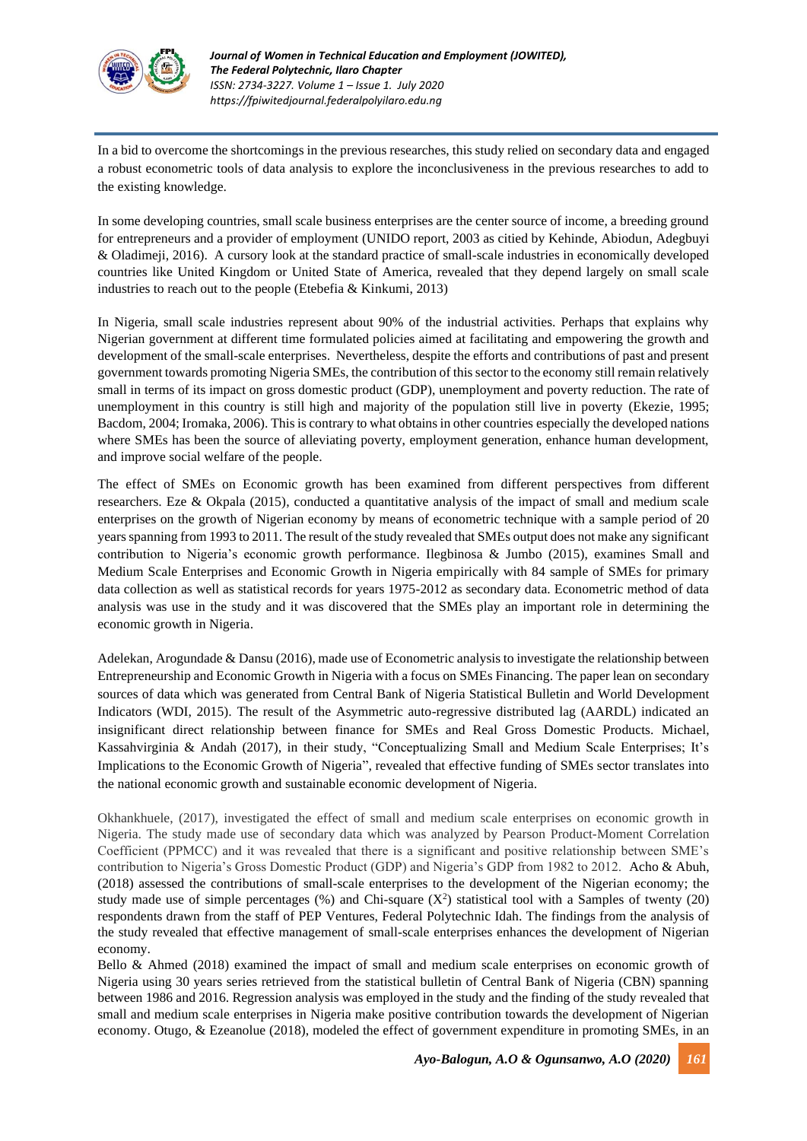

In a bid to overcome the shortcomings in the previous researches, this study relied on secondary data and engaged a robust econometric tools of data analysis to explore the inconclusiveness in the previous researches to add to the existing knowledge.

In some developing countries, small scale business enterprises are the center source of income, a breeding ground for entrepreneurs and a provider of employment (UNIDO report, 2003 as citied by Kehinde, Abiodun, Adegbuyi & Oladimeji, 2016). A cursory look at the standard practice of small-scale industries in economically developed countries like United Kingdom or United State of America, revealed that they depend largely on small scale industries to reach out to the people (Etebefia & Kinkumi, 2013)

In Nigeria, small scale industries represent about 90% of the industrial activities. Perhaps that explains why Nigerian government at different time formulated policies aimed at facilitating and empowering the growth and development of the small-scale enterprises. Nevertheless, despite the efforts and contributions of past and present government towards promoting Nigeria SMEs, the contribution of this sector to the economy still remain relatively small in terms of its impact on gross domestic product (GDP), unemployment and poverty reduction. The rate of unemployment in this country is still high and majority of the population still live in poverty (Ekezie, 1995; Bacdom, 2004; Iromaka, 2006). This is contrary to what obtains in other countries especially the developed nations where SMEs has been the source of alleviating poverty, employment generation, enhance human development, and improve social welfare of the people.

The effect of SMEs on Economic growth has been examined from different perspectives from different researchers. Eze & Okpala (2015), conducted a quantitative analysis of the impact of small and medium scale enterprises on the growth of Nigerian economy by means of econometric technique with a sample period of 20 years spanning from 1993 to 2011. The result of the study revealed that SMEs output does not make any significant contribution to Nigeria's economic growth performance. Ilegbinosa & Jumbo (2015), examines Small and Medium Scale Enterprises and Economic Growth in Nigeria empirically with 84 sample of SMEs for primary data collection as well as statistical records for years 1975-2012 as secondary data. Econometric method of data analysis was use in the study and it was discovered that the SMEs play an important role in determining the economic growth in Nigeria.

Adelekan, Arogundade & Dansu (2016), made use of Econometric analysis to investigate the relationship between Entrepreneurship and Economic Growth in Nigeria with a focus on SMEs Financing. The paper lean on secondary sources of data which was generated from Central Bank of Nigeria Statistical Bulletin and World Development Indicators (WDI, 2015). The result of the Asymmetric auto-regressive distributed lag (AARDL) indicated an insignificant direct relationship between finance for SMEs and Real Gross Domestic Products. Michael, Kassahvirginia & Andah (2017), in their study, "Conceptualizing Small and Medium Scale Enterprises; It's Implications to the Economic Growth of Nigeria", revealed that effective funding of SMEs sector translates into the national economic growth and sustainable economic development of Nigeria.

Okhankhuele, (2017), investigated the effect of small and medium scale enterprises on economic growth in Nigeria. The study made use of secondary data which was analyzed by Pearson Product-Moment Correlation Coefficient (PPMCC) and it was revealed that there is a significant and positive relationship between SME's contribution to Nigeria's Gross Domestic Product (GDP) and Nigeria's GDP from 1982 to 2012. Acho & Abuh, (2018) assessed the contributions of small-scale enterprises to the development of the Nigerian economy; the study made use of simple percentages  $(\%)$  and Chi-square  $(X^2)$  statistical tool with a Samples of twenty (20) respondents drawn from the staff of PEP Ventures, Federal Polytechnic Idah. The findings from the analysis of the study revealed that effective management of small-scale enterprises enhances the development of Nigerian economy.

Bello & Ahmed (2018) examined the impact of small and medium scale enterprises on economic growth of Nigeria using 30 years series retrieved from the statistical bulletin of Central Bank of Nigeria (CBN) spanning between 1986 and 2016. Regression analysis was employed in the study and the finding of the study revealed that small and medium scale enterprises in Nigeria make positive contribution towards the development of Nigerian economy. Otugo, & Ezeanolue (2018), modeled the effect of government expenditure in promoting SMEs, in an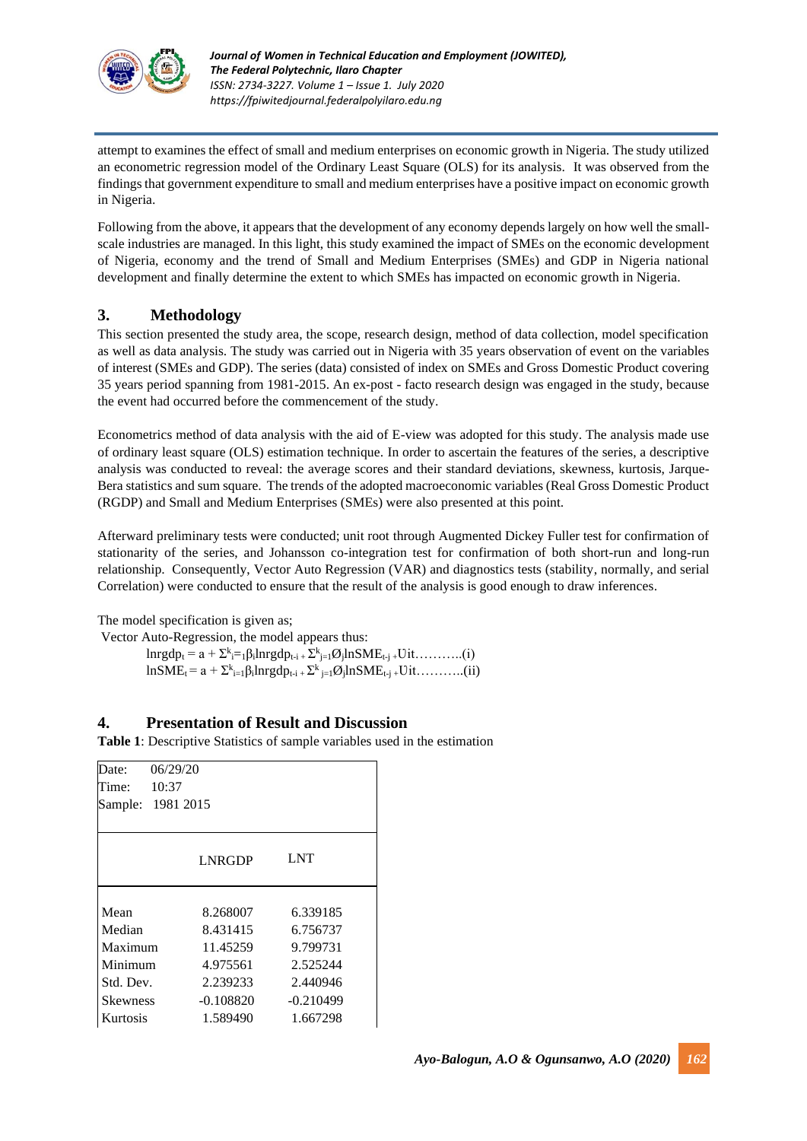

attempt to examines the effect of small and medium enterprises on economic growth in Nigeria. The study utilized an econometric regression model of the Ordinary Least Square (OLS) for its analysis. It was observed from the findings that government expenditure to small and medium enterprises have a positive impact on economic growth in Nigeria.

Following from the above, it appears that the development of any economy depends largely on how well the smallscale industries are managed. In this light, this study examined the impact of SMEs on the economic development of Nigeria, economy and the trend of Small and Medium Enterprises (SMEs) and GDP in Nigeria national development and finally determine the extent to which SMEs has impacted on economic growth in Nigeria.

### **3. Methodology**

This section presented the study area, the scope, research design, method of data collection, model specification as well as data analysis. The study was carried out in Nigeria with 35 years observation of event on the variables of interest (SMEs and GDP). The series (data) consisted of index on SMEs and Gross Domestic Product covering 35 years period spanning from 1981-2015. An ex-post - facto research design was engaged in the study, because the event had occurred before the commencement of the study.

Econometrics method of data analysis with the aid of E-view was adopted for this study. The analysis made use of ordinary least square (OLS) estimation technique. In order to ascertain the features of the series, a descriptive analysis was conducted to reveal: the average scores and their standard deviations, skewness, kurtosis, Jarque-Bera statistics and sum square. The trends of the adopted macroeconomic variables (Real Gross Domestic Product (RGDP) and Small and Medium Enterprises (SMEs) were also presented at this point.

Afterward preliminary tests were conducted; unit root through Augmented Dickey Fuller test for confirmation of stationarity of the series, and Johansson co-integration test for confirmation of both short-run and long-run relationship. Consequently, Vector Auto Regression (VAR) and diagnostics tests (stability, normally, and serial Correlation) were conducted to ensure that the result of the analysis is good enough to draw inferences.

The model specification is given as;

Vector Auto-Regression, the model appears thus:  $\text{Inrgdp}_{t} = a + \sum_{i=1}^{k} \beta_{i} \text{Inrgdp}_{t-i} + \sum_{j=1}^{k} \beta_{j} \text{InSME}_{t-j} + \text{Uit} \dots \dots \dots (i)$  $lnSME_t = a + \sum_{i=1}^{k} \beta_i lnrgdp_{t-i} + \sum_{j=1}^{k} \beta_j lnSME_{t-j} + \text{Uit} \dots \dots \dots (ii)$ 

### **4. Presentation of Result and Discussion**

**Table 1**: Descriptive Statistics of sample variables used in the estimation

| Date:     | 06/29/20          |             |
|-----------|-------------------|-------------|
| Time:     | 10:37             |             |
|           | Sample: 1981 2015 |             |
|           |                   |             |
|           | <b>LNRGDP</b>     | <b>LNT</b>  |
|           |                   |             |
| Mean      | 8.268007          | 6.339185    |
| Median    | 8.431415          | 6.756737    |
| Maximum   | 11.45259          | 9.799731    |
| Minimum   | 4.975561          | 2.525244    |
| Std. Dev. | 2.239233          | 2.440946    |
| Skewness  | $-0.108820$       | $-0.210499$ |
| Kurtosis  | 1.589490          | 1.667298    |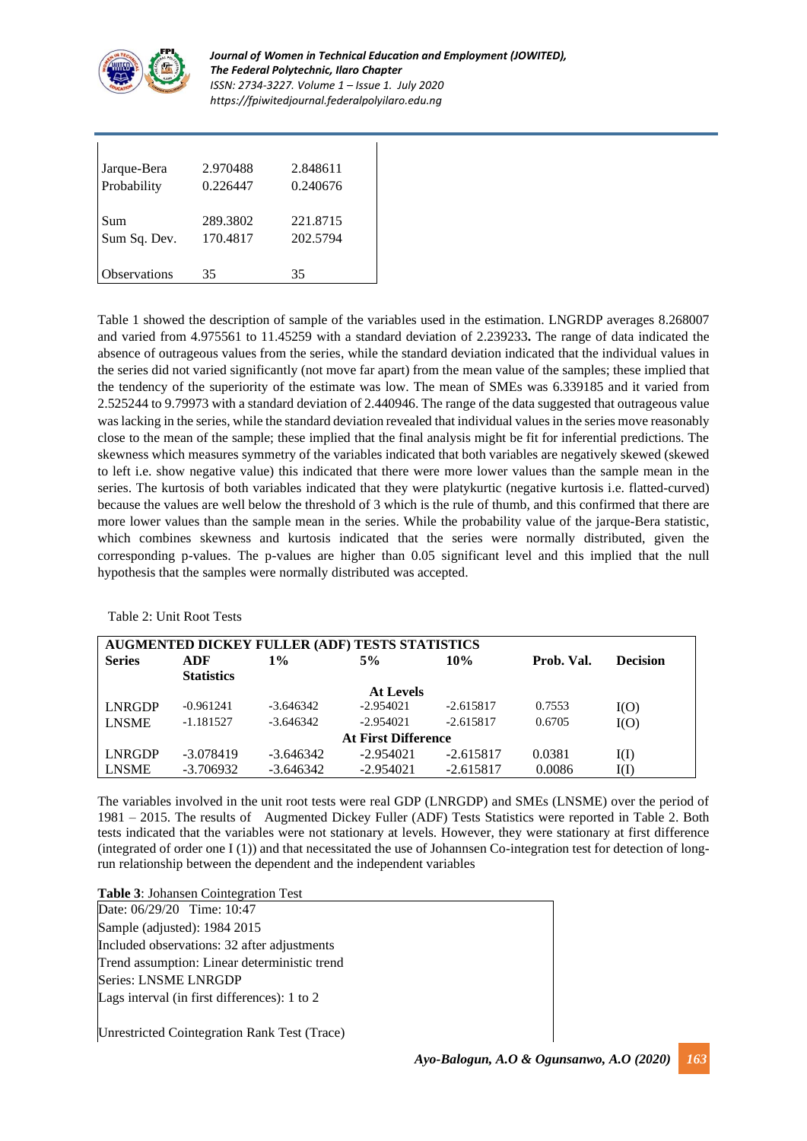

*Journal of Women in Technical Education and Employment (JOWITED), The Federal Polytechnic, Ilaro Chapter ISSN: 2734-3227. Volume 1 – Issue 1. July 2020 https://fpiwitedjournal.federalpolyilaro.edu.ng*

| Jarque-Bera         | 2.970488 | 2.848611 |
|---------------------|----------|----------|
| Probability         | 0.226447 | 0.240676 |
| Sum                 | 289.3802 | 221.8715 |
| Sum Sq. Dev.        | 170.4817 | 202.5794 |
| <b>Observations</b> | 35       | 35       |

Table 1 showed the description of sample of the variables used in the estimation. LNGRDP averages 8.268007 and varied from 4.975561 to 11.45259 with a standard deviation of 2.239233**.** The range of data indicated the absence of outrageous values from the series, while the standard deviation indicated that the individual values in the series did not varied significantly (not move far apart) from the mean value of the samples; these implied that the tendency of the superiority of the estimate was low. The mean of SMEs was 6.339185 and it varied from 2.525244 to 9.79973 with a standard deviation of 2.440946. The range of the data suggested that outrageous value waslacking in the series, while the standard deviation revealed that individual values in the series move reasonably close to the mean of the sample; these implied that the final analysis might be fit for inferential predictions. The skewness which measures symmetry of the variables indicated that both variables are negatively skewed (skewed to left i.e. show negative value) this indicated that there were more lower values than the sample mean in the series. The kurtosis of both variables indicated that they were platykurtic (negative kurtosis i.e. flatted-curved) because the values are well below the threshold of 3 which is the rule of thumb, and this confirmed that there are more lower values than the sample mean in the series. While the probability value of the jarque-Bera statistic, which combines skewness and kurtosis indicated that the series were normally distributed, given the corresponding p-values. The p-values are higher than 0.05 significant level and this implied that the null hypothesis that the samples were normally distributed was accepted.

| AUGMENTED DICKEY FULLER (ADF) TESTS STATISTICS |                   |             |                  |             |            |                 |
|------------------------------------------------|-------------------|-------------|------------------|-------------|------------|-----------------|
| <b>Series</b>                                  | ADF               | $1\%$       | 5%               | <b>10%</b>  | Prob. Val. | <b>Decision</b> |
|                                                | <b>Statistics</b> |             |                  |             |            |                 |
|                                                |                   |             | <b>At Levels</b> |             |            |                 |
| <b>LNRGDP</b>                                  | $-0.961241$       | -3.646342   | $-2.954021$      | $-2.615817$ | 0.7553     | I(O)            |
| <b>LNSME</b>                                   | $-1.181527$       | $-3.646342$ | $-2.954021$      | $-2.615817$ | 0.6705     | I(O)            |
| <b>At First Difference</b>                     |                   |             |                  |             |            |                 |
| <b>LNRGDP</b>                                  | $-3.078419$       | $-3.646342$ | $-2.954021$      | $-2.615817$ | 0.0381     | I(I)            |
| <b>LNSME</b>                                   | $-3.706932$       | $-3.646342$ | $-2.954021$      | $-2.615817$ | 0.0086     | I(I)            |

Table 2: Unit Root Tests

The variables involved in the unit root tests were real GDP (LNRGDP) and SMEs (LNSME) over the period of 1981 – 2015. The results of Augmented Dickey Fuller (ADF) Tests Statistics were reported in Table 2. Both tests indicated that the variables were not stationary at levels. However, they were stationary at first difference (integrated of order one I (1)) and that necessitated the use of Johannsen Co-integration test for detection of longrun relationship between the dependent and the independent variables

**Table 3**: Johansen Cointegration Test

Date: 06/29/20 Time: 10:47 Sample (adjusted): 1984 2015 Included observations: 32 after adjustments Trend assumption: Linear deterministic trend Series: LNSME LNRGDP Lags interval (in first differences): 1 to 2

Unrestricted Cointegration Rank Test (Trace)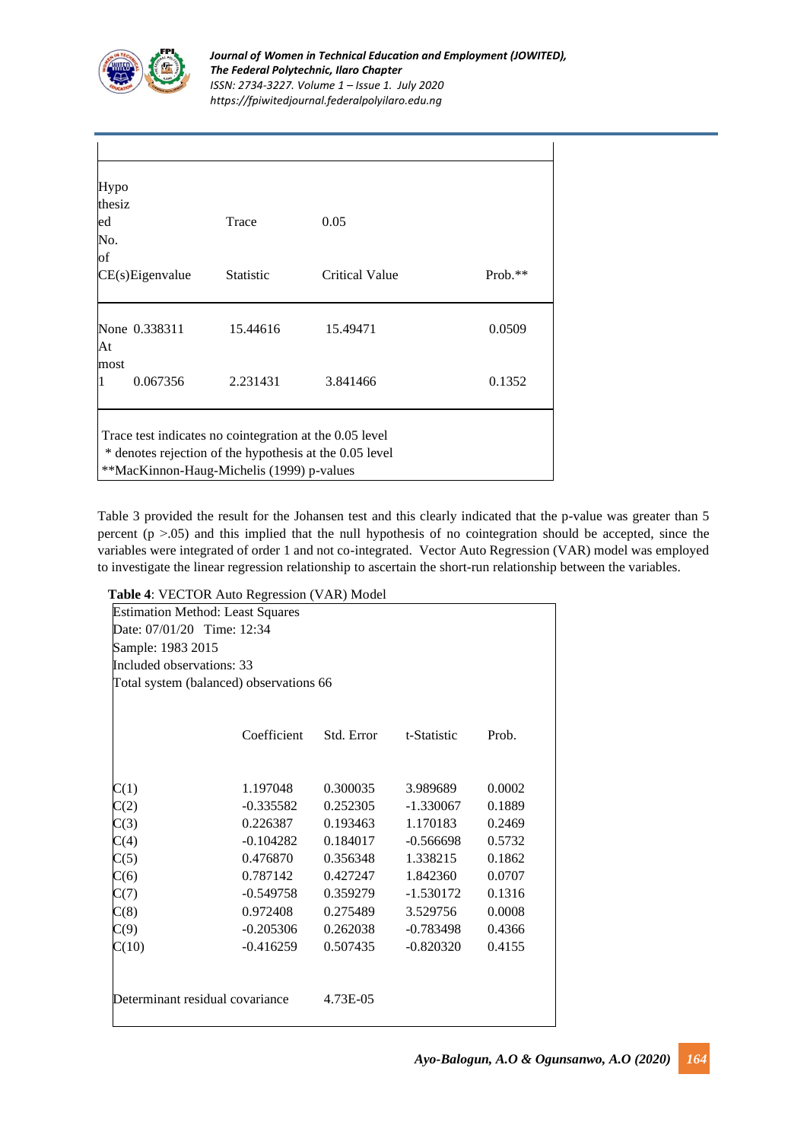

| Trace                     | 0.05           |         |
|---------------------------|----------------|---------|
| <b>Statistic</b>          | Critical Value | Prob.** |
| None 0.338311<br>15.44616 | 15.49471       | 0.0509  |
| 2.231431                  | 3.841466       | 0.1352  |
|                           |                |         |

Table 3 provided the result for the Johansen test and this clearly indicated that the p-value was greater than 5 percent ( $p > 0.05$ ) and this implied that the null hypothesis of no cointegration should be accepted, since the variables were integrated of order 1 and not co-integrated. Vector Auto Regression (VAR) model was employed to investigate the linear regression relationship to ascertain the short-run relationship between the variables.

### **Table 4**: VECTOR Auto Regression (VAR) Model

|                            | <b>Estimation Method: Least Squares</b> |            |             |        |
|----------------------------|-----------------------------------------|------------|-------------|--------|
| Date: 07/01/20 Time: 12:34 |                                         |            |             |        |
| Sample: 1983 2015          |                                         |            |             |        |
| Included observations: 33  |                                         |            |             |        |
|                            | Total system (balanced) observations 66 |            |             |        |
|                            |                                         |            |             |        |
|                            | Coefficient                             | Std. Error | t-Statistic | Prob.  |
|                            |                                         |            |             |        |
| C(1)                       | 1.197048                                | 0.300035   | 3.989689    | 0.0002 |
| C(2)                       | $-0.335582$                             | 0.252305   | -1.330067   | 0.1889 |
| C(3)                       | 0.226387                                | 0.193463   | 1.170183    | 0.2469 |
| C(4)                       | $-0.104282$                             | 0.184017   | $-0.566698$ | 0.5732 |
| C(5)                       | 0.476870                                | 0.356348   | 1.338215    | 0.1862 |
| C(6)                       | 0.787142                                | 0.427247   | 1.842360    | 0.0707 |
| C(7)                       | -0.549758                               | 0.359279   | $-1.530172$ | 0.1316 |
| C(8)                       | 0.972408                                | 0.275489   | 3.529756    | 0.0008 |
| C(9)                       | $-0.205306$                             | 0.262038   | -0.783498   | 0.4366 |
| C(10)                      | $-0.416259$                             | 0.507435   | $-0.820320$ | 0.4155 |
|                            | Determinant residual covariance         | 4.73E-05   |             |        |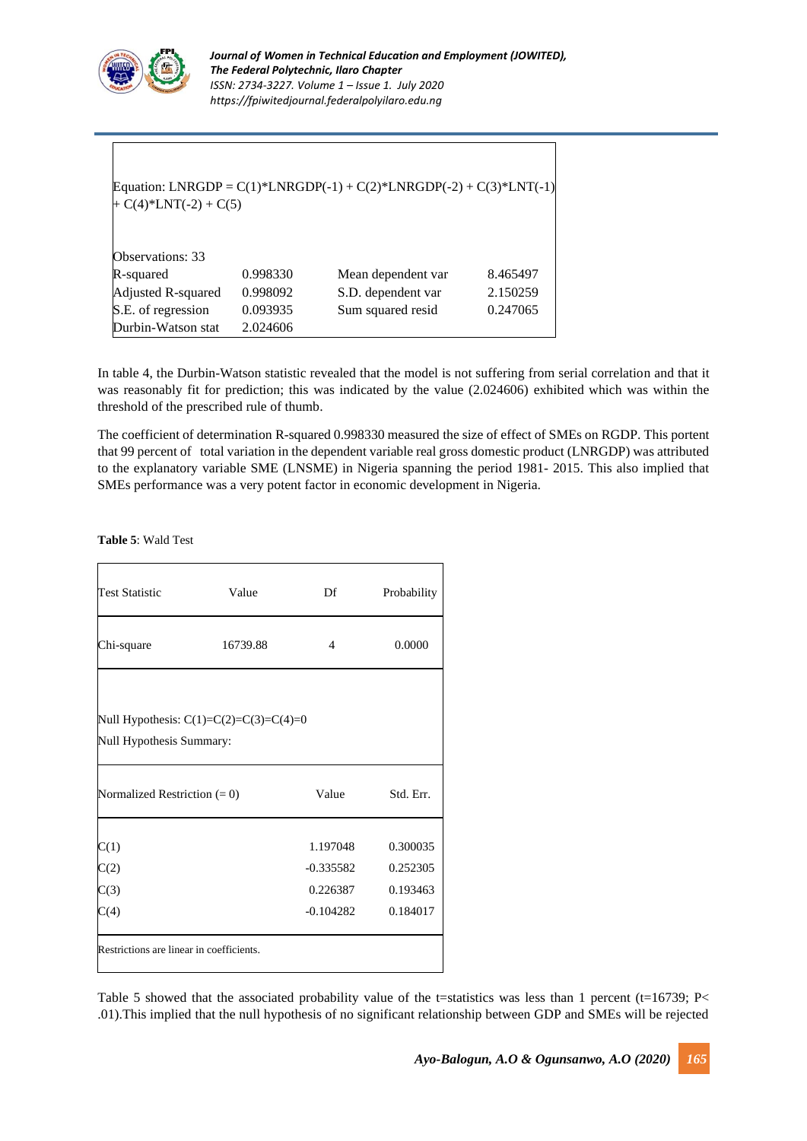

| + $C(4)$ <sup>*</sup> LNT(-2) + $C(5)$ |          | Equation: LNRGDP = $C(1)$ *LNRGDP(-1) + $C(2)$ *LNRGDP(-2) + $C(3)$ *LNT(-1) |          |
|----------------------------------------|----------|------------------------------------------------------------------------------|----------|
| Observations: 33                       |          |                                                                              |          |
| R-squared                              | 0.998330 | Mean dependent var                                                           | 8.465497 |
| Adjusted R-squared                     | 0.998092 | S.D. dependent var                                                           | 2.150259 |
| S.E. of regression                     | 0.093935 | Sum squared resid                                                            | 0.247065 |
| Durbin-Watson stat                     | 2.024606 |                                                                              |          |

In table 4, the Durbin-Watson statistic revealed that the model is not suffering from serial correlation and that it was reasonably fit for prediction; this was indicated by the value (2.024606) exhibited which was within the threshold of the prescribed rule of thumb.

The coefficient of determination R-squared 0.998330 measured the size of effect of SMEs on RGDP. This portent that 99 percent of total variation in the dependent variable real gross domestic product (LNRGDP) was attributed to the explanatory variable SME (LNSME) in Nigeria spanning the period 1981- 2015. This also implied that SMEs performance was a very potent factor in economic development in Nigeria.

**Table 5**: Wald Test

| <b>Test Statistic</b><br>Value                                       |  | Df             | Probability |  |  |  |  |
|----------------------------------------------------------------------|--|----------------|-------------|--|--|--|--|
| Chi-square<br>16739.88                                               |  | $\overline{4}$ | 0.0000      |  |  |  |  |
| Null Hypothesis: $C(1)=C(2)=C(3)=C(4)=0$<br>Null Hypothesis Summary: |  |                |             |  |  |  |  |
| Value<br>Std. Err.<br>Normalized Restriction $(= 0)$                 |  |                |             |  |  |  |  |
|                                                                      |  |                |             |  |  |  |  |
| C(1)                                                                 |  | 1.197048       | 0.300035    |  |  |  |  |
| C(2)                                                                 |  | $-0.335582$    | 0.252305    |  |  |  |  |
| C(3)                                                                 |  | 0.226387       | 0.193463    |  |  |  |  |

Table 5 showed that the associated probability value of the t=statistics was less than 1 percent (t=16739; P< .01).This implied that the null hypothesis of no significant relationship between GDP and SMEs will be rejected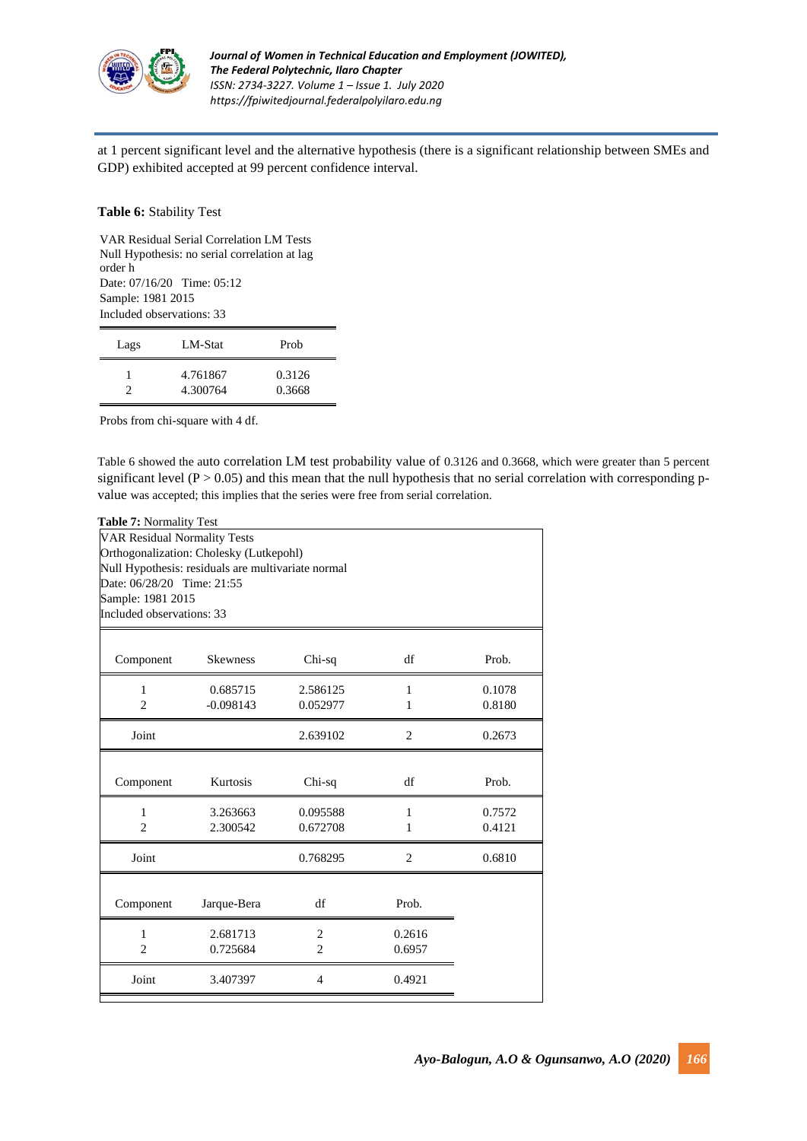

at 1 percent significant level and the alternative hypothesis (there is a significant relationship between SMEs and GDP) exhibited accepted at 99 percent confidence interval.

#### **Table 6:** Stability Test

VAR Residual Serial Correlation LM Tests Null Hypothesis: no serial correlation at lag order h Date: 07/16/20 Time: 05:12 Sample: 1981 2015 Included observations: 33

| Lags | LM-Stat              | Prob             |
|------|----------------------|------------------|
|      | 4.761867<br>4.300764 | 0.3126<br>0.3668 |

Probs from chi-square with 4 df.

Table 6 showed the auto correlation LM test probability value of 0.3126 and 0.3668, which were greater than 5 percent significant level ( $P > 0.05$ ) and this mean that the null hypothesis that no serial correlation with corresponding pvalue was accepted; this implies that the series were free from serial correlation.

| Table 7: Normality Test                            |                 |                |                |        |  |  |
|----------------------------------------------------|-----------------|----------------|----------------|--------|--|--|
| <b>VAR Residual Normality Tests</b>                |                 |                |                |        |  |  |
| Orthogonalization: Cholesky (Lutkepohl)            |                 |                |                |        |  |  |
| Null Hypothesis: residuals are multivariate normal |                 |                |                |        |  |  |
| Date: 06/28/20 Time: 21:55                         |                 |                |                |        |  |  |
| Sample: 1981 2015                                  |                 |                |                |        |  |  |
| Included observations: 33                          |                 |                |                |        |  |  |
|                                                    |                 |                |                |        |  |  |
| Component                                          | <b>Skewness</b> | Chi-sq         | df             | Prob.  |  |  |
| 1                                                  | 0.685715        | 2.586125       | 1              | 0.1078 |  |  |
| $\overline{2}$                                     | $-0.098143$     | 0.052977       | 1              | 0.8180 |  |  |
| Joint                                              |                 | 2.639102       | 2              | 0.2673 |  |  |
|                                                    |                 |                |                |        |  |  |
| Component                                          | Kurtosis        | Chi-sq         | df             | Prob.  |  |  |
| $\mathbf{1}$                                       | 3.263663        | 0.095588       | $\mathbf{1}$   | 0.7572 |  |  |
| $\overline{2}$                                     | 2.300542        | 0.672708       | 1              | 0.4121 |  |  |
| Joint                                              |                 | 0.768295       | $\overline{2}$ | 0.6810 |  |  |
|                                                    |                 |                |                |        |  |  |
| Component                                          | Jarque-Bera     | df             | Prob.          |        |  |  |
| 1                                                  | 2.681713        | $\overline{c}$ | 0.2616         |        |  |  |
| $\overline{c}$                                     | 0.725684        | $\overline{c}$ | 0.6957         |        |  |  |
| Joint                                              | 3.407397        | $\overline{4}$ | 0.4921         |        |  |  |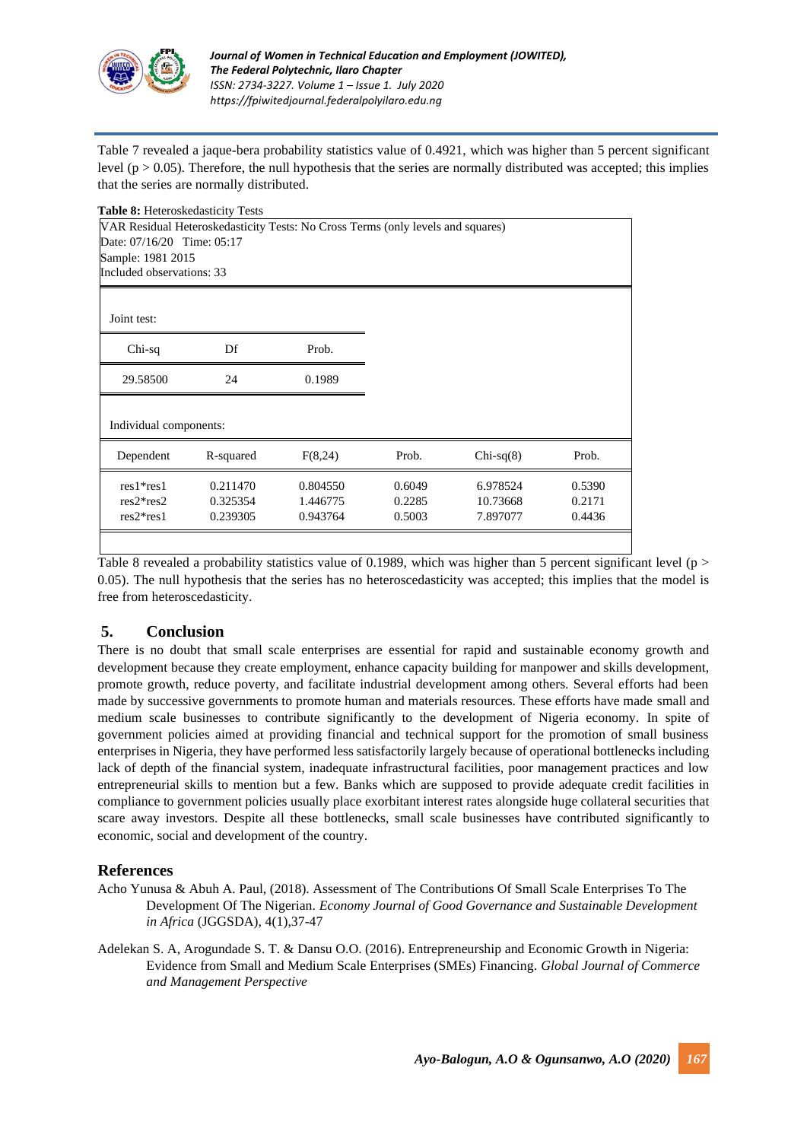

Table 7 revealed a jaque-bera probability statistics value of 0.4921, which was higher than 5 percent significant level ( $p > 0.05$ ). Therefore, the null hypothesis that the series are normally distributed was accepted; this implies that the series are normally distributed.

| <b>Table 8:</b> Heteroskedasticity Tests |                                                                                 |          |        |             |        |
|------------------------------------------|---------------------------------------------------------------------------------|----------|--------|-------------|--------|
|                                          | VAR Residual Heteroskedasticity Tests: No Cross Terms (only levels and squares) |          |        |             |        |
| Date: 07/16/20 Time: 05:17               |                                                                                 |          |        |             |        |
| Sample: 1981 2015                        |                                                                                 |          |        |             |        |
| Included observations: 33                |                                                                                 |          |        |             |        |
|                                          |                                                                                 |          |        |             |        |
| Joint test:                              |                                                                                 |          |        |             |        |
| Chi-sq                                   | Df                                                                              | Prob.    |        |             |        |
| 29.58500                                 | 24                                                                              | 0.1989   |        |             |        |
| Individual components:                   |                                                                                 |          |        |             |        |
|                                          |                                                                                 |          |        |             |        |
| Dependent                                | R-squared                                                                       | F(8,24)  | Prob.  | $Chi-sq(8)$ | Prob.  |
| $res1*res1$                              | 0.211470                                                                        | 0.804550 | 0.6049 | 6.978524    | 0.5390 |
| $res2*res2$                              | 0.325354                                                                        | 1.446775 | 0.2285 | 10.73668    | 0.2171 |
| $res2*res1$                              | 0.239305                                                                        | 0.943764 | 0.5003 | 7.897077    | 0.4436 |
|                                          |                                                                                 |          |        |             |        |

Table 8 revealed a probability statistics value of 0.1989, which was higher than 5 percent significant level (p > 0.05). The null hypothesis that the series has no heteroscedasticity was accepted; this implies that the model is free from heteroscedasticity.

## **5. Conclusion**

There is no doubt that small scale enterprises are essential for rapid and sustainable economy growth and development because they create employment, enhance capacity building for manpower and skills development, promote growth, reduce poverty, and facilitate industrial development among others. Several efforts had been made by successive governments to promote human and materials resources. These efforts have made small and medium scale businesses to contribute significantly to the development of Nigeria economy. In spite of government policies aimed at providing financial and technical support for the promotion of small business enterprises in Nigeria, they have performed less satisfactorily largely because of operational bottlenecks including lack of depth of the financial system, inadequate infrastructural facilities, poor management practices and low entrepreneurial skills to mention but a few. Banks which are supposed to provide adequate credit facilities in compliance to government policies usually place exorbitant interest rates alongside huge collateral securities that scare away investors. Despite all these bottlenecks, small scale businesses have contributed significantly to economic, social and development of the country.

### **References**

- Acho Yunusa & Abuh A. Paul, (2018). Assessment of The Contributions Of Small Scale Enterprises To The Development Of The Nigerian. *Economy Journal of Good Governance and Sustainable Development in Africa* (JGGSDA), 4(1),37-47
- Adelekan S. A, Arogundade S. T. & Dansu O.O. (2016). Entrepreneurship and Economic Growth in Nigeria: Evidence from Small and Medium Scale Enterprises (SMEs) Financing. *Global Journal of Commerce and Management Perspective*